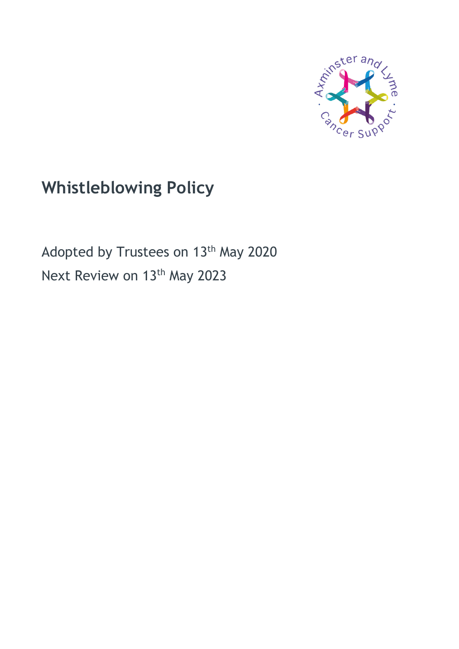

# **Whistleblowing Policy**

Adopted by Trustees on 13<sup>th</sup> May 2020 Next Review on 13<sup>th</sup> May 2023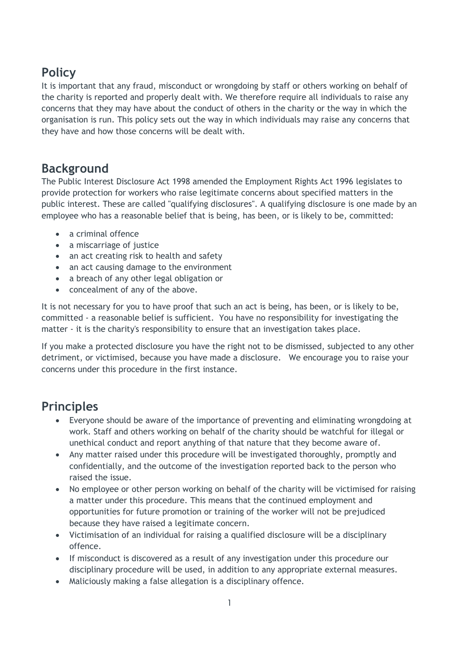# **Policy**

It is important that any fraud, misconduct or wrongdoing by staff or others working on behalf of the charity is reported and properly dealt with. We therefore require all individuals to raise any concerns that they may have about the conduct of others in the charity or the way in which the organisation is run. This policy sets out the way in which individuals may raise any concerns that they have and how those concerns will be dealt with.

## **Background**

The Public Interest Disclosure Act 1998 amended the Employment Rights Act 1996 legislates to provide protection for workers who raise legitimate concerns about specified matters in the public interest. These are called "qualifying disclosures". A qualifying disclosure is one made by an employee who has a reasonable belief that is being, has been, or is likely to be, committed:

- a criminal offence
- a miscarriage of justice
- an act creating risk to health and safety
- an act causing damage to the environment
- a breach of any other legal obligation or
- concealment of any of the above.

It is not necessary for you to have proof that such an act is being, has been, or is likely to be, committed - a reasonable belief is sufficient. You have no responsibility for investigating the matter - it is the charity's responsibility to ensure that an investigation takes place.

If you make a protected disclosure you have the right not to be dismissed, subjected to any other detriment, or victimised, because you have made a disclosure. We encourage you to raise your concerns under this procedure in the first instance.

# **Principles**

- Everyone should be aware of the importance of preventing and eliminating wrongdoing at work. Staff and others working on behalf of the charity should be watchful for illegal or unethical conduct and report anything of that nature that they become aware of.
- Any matter raised under this procedure will be investigated thoroughly, promptly and confidentially, and the outcome of the investigation reported back to the person who raised the issue.
- No employee or other person working on behalf of the charity will be victimised for raising a matter under this procedure. This means that the continued employment and opportunities for future promotion or training of the worker will not be prejudiced because they have raised a legitimate concern.
- Victimisation of an individual for raising a qualified disclosure will be a disciplinary offence.
- If misconduct is discovered as a result of any investigation under this procedure our disciplinary procedure will be used, in addition to any appropriate external measures.
- Maliciously making a false allegation is a disciplinary offence.